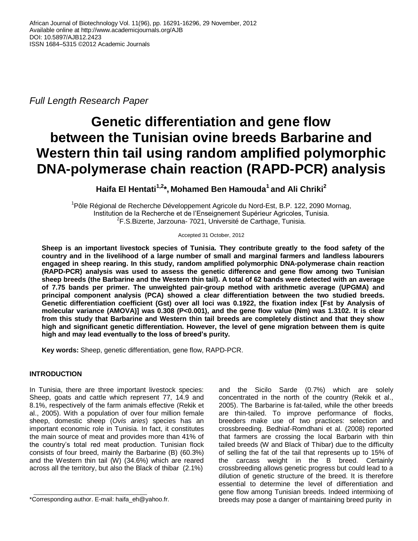*Full Length Research Paper*

# **Genetic differentiation and gene flow between the Tunisian ovine breeds Barbarine and Western thin tail using random amplified polymorphic DNA-polymerase chain reaction (RAPD-PCR) analysis**

**Haifa El Hentati1,2\*, Mohamed Ben Hamouda<sup>1</sup>and Ali Chriki<sup>2</sup>**

<sup>1</sup>Pôle Régional de Recherche Développement Agricole du Nord-Est, B.P. 122, 2090 Mornag, Institution de la Recherche et de l'Enseignement Supérieur Agricoles, Tunisia. <sup>2</sup>F.S.Bizerte, Jarzouna- 7021, Université de Carthage, Tunisia.

Accepted 31 October, 2012

**Sheep is an important livestock species of Tunisia. They contribute greatly to the food safety of the country and in the livelihood of a large number of small and marginal farmers and landless labourers engaged in sheep rearing. In this study, random amplified polymorphic DNA-polymerase chain reaction (RAPD-PCR) analysis was used to assess the genetic difference and gene flow among two Tunisian sheep breeds (the Barbarine and the Western thin tail). A total of 62 bands were detected with an average of 7.75 bands per primer. The unweighted pair-group method with arithmetic average (UPGMA) and principal component analysis (PCA) showed a clear differentiation between the two studied breeds. Genetic differentiation coefficient (Gst) over all loci was 0.1922, the fixation index [Fst by Analysis of molecular variance (AMOVA)] was 0.308 (P<0.001), and the gene flow value (Nm) was 1.3102. It is clear from this study that Barbarine and Western thin tail breeds are completely distinct and that they show high and significant genetic differentiation. However, the level of gene migration between them is quite high and may lead eventually to the loss of breed's purity.** 

**Key words:** Sheep, genetic differentiation, gene flow, RAPD-PCR.

# **INTRODUCTION**

In Tunisia, there are three important livestock species: Sheep, goats and cattle which represent 77, 14.9 and 8.1%, respectively of the farm animals effective (Rekik et al., 2005). With a population of over four million female sheep, domestic sheep (*Ovis aries*) species has an important economic role in Tunisia. In fact, it constitutes the main source of meat and provides more than 41% of the country's total red meat production. Tunisian flock consists of four breed, mainly the Barbarine (B) (60.3%) and the Western thin tail (W) (34.6%) which are reared across all the territory, but also the Black of thibar (2.1%)

and the Sicilo Sarde (0.7%) which are solely concentrated in the north of the country (Rekik et al., 2005). The Barbarine is fat-tailed, while the other breeds are thin-tailed. To improve performance of flocks, breeders make use of two practices: selection and crossbreeding. Bedhiaf-Romdhani et al. (2008) reported that farmers are crossing the local Barbarin with thin tailed breeds (W and Black of Thibar) due to the difficulty of selling the fat of the tail that represents up to 15% of the carcass weight in the B breed. Certainly crossbreeding allows genetic progress but could lead to a dilution of genetic structure of the breed. It is therefore essential to determine the level of differentiation and gene flow among Tunisian breeds. Indeed intermixing of breeds may pose a danger of maintaining breed purity in

<sup>\*</sup>Corresponding author. E-mail: haifa\_eh@yahoo.fr.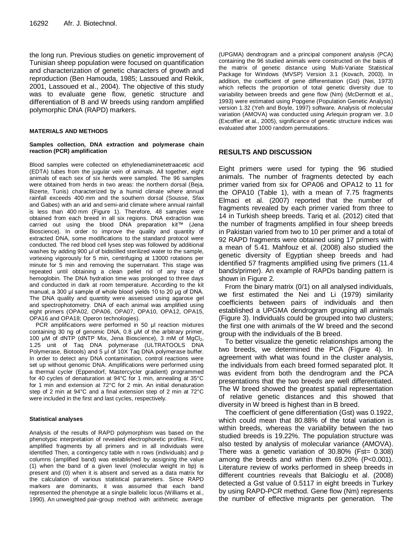the long run. Previous studies on genetic improvement of Tunisian sheep population were focused on quantification and characterization of genetic characters of growth and reproduction (Ben Hamouda, 1985; Lassoued and Rekik, 2001, Lassoued et al., 2004). The objective of this study was to evaluate gene flow, genetic structure and differentiation of B and W breeds using random amplified polymorphic DNA (RAPD) markers.

#### **MATERIALS AND METHODS**

#### **Samples collection, DNA extraction and polymerase chain reaction (PCR) amplification**

Blood samples were collected on ethylenediaminetetraacetic acid (EDTA) tubes from the jugular vein of animals. All together, eight animals of each sex of six herds were sampled. The 96 samples were obtained from herds in two areas: the northern dorsal (Beja, Bizerte, Tunis) characterized by a humid climate where annual rainfall exceeds 400 mm and the southern dorsal (Sousse, Sfax and Gabes) with an arid and semi-arid climate where annual rainfall is less than 400 mm (Figure 1). Therefore, 48 samples were obtained from each breed in all six regions. DNA extraction was carried out using the blood DNA preparation kit™ (Jena Bioscience). In order to improve the quality and quantity of extracted DNA, some modifications to the standard protocol were conducted. The red blood cell lyses step was followed by additional washes by adding 900 μl of bidistilled sterilized water to the sample, vortexing vigorously for 5 min, centrifuging at 13000 rotations per minute for 5 min and removing the supernatant. This stage was repeated until obtaining a clean pellet rid of any trace of hemoglobin. The DNA hydration time was prolonged to three days and conducted in dark at room temperature. According to the kit manual, a 300 μl sample of whole blood yields 10 to 20 μg of DNA. The DNA quality and quantity were assessed using agarose gel and spectrophotometry. DNA of each animal was amplified using eight primers (OPA02, OPA06, OPA07, OPA10, OPA12, OPA15, OPA16 and OPA18; Operon technologies).

PCR amplifications were performed in 50 μl reaction mixtures containing 30 ng of genomic DNA, 0.8 μM of the arbitrary primer, 100 μM of dNTP (dNTP Mix, Jena Bioscience), 3 mM of MgCl<sub>2</sub>, 1.25 unit of Taq DNA polymerase (ULTRATOOLS DNA Polymerase, Biotools) and 5 μl of 10X Taq DNA polymerase buffer. In order to detect any DNA contamination, control reactions were set up without genomic DNA. Amplifications were performed using a thermal cycler (Eppendorf, Mastercycler gradient) programmed for 40 cycles of denaturation at 94°C for 1 min, annealing at 35°C for 1 min and extension at 72°C for 2 min. An initial denaturation step of 2 min at 94°C and a final extension step of 2 min at 72°C were included in the first and last cycles, respectively.

#### **Statistical analyses**

Analysis of the results of RAPD polymorphism was based on the phenotypic interpretation of revealed electrophoretic profiles. First, amplified fragments by all primers and in all individuals were identified Then, a contingency table with n rows (individuals) and p columns (amplified band) was established by assigning the value (1) when the band of a given level (molecular weight in bp) is present and (0) when it is absent and served as a data matrix for the calculation of various statistical parameters. Since RAPD markers are dominants, it was assumed that each band represented the phenotype at a single biallelic locus (Williams et al., 1990). An unweighted pair-group method with arithmetic average

(UPGMA) dendrogram and a principal component analysis (PCA) containing the 96 studied animals were constructed on the basis of the matrix of genetic distance using Multi-Variate Statistical Package for Windows (MVSP) Version 3.1 (Kovach, 2003). In addition, the coefficient of gene differentiation (Gst) (Nei, 1973) which reflects the proportion of total genetic diversity due to variability between breeds and gene flow (Nm) (McDermott et al., 1993) were estimated using Popgene (Population Genetic Analysis) version 1.32 (Yeh and Boyle, 1997) software. Analysis of molecular variation (AMOVA) was conducted using Arlequin program ver. 3.0 (Excoffier et al., 2005), significance of genetic structure indices was evaluated after 1000 random permutations.

## **RESULTS AND DISCUSSION**

Eight primers were used for typing the 96 studied animals. The number of fragments detected by each primer varied from six for OPA06 and OPA12 to 11 for the OPA10 (Table 1), with a mean of 7.75 fragments Elmaci et al. (2007) reported that the number of fragments revealed by each primer varied from three to 14 in Turkish sheep breeds. Tariq et al. (2012) cited that the number of fragments amplified in four sheep breeds in Pakistan varied from two to 10 per primer and a total of 92 RAPD fragments were obtained using 17 primers with a mean of 5.41. Mahfouz et al. (2008) also studied the genetic diversity of Egyptian sheep breeds and had identified 57 fragments amplified using five primers (11.4 bands/primer). An example of RAPDs banding pattern is shown in Figure 2.

From the binary matrix (0/1) on all analysed individuals, we first estimated the Nei and Li (1979) similarity coefficients between pairs of individuals and then established a UPGMA dendrogram grouping all animals (Figure 3). Individuals could be grouped into two clusters; the first one with animals of the W breed and the second group with the individuals of the B breed.

To better visualize the genetic relationships among the two breeds, we determined the PCA (Figure 4). In agreement with what was found in the cluster analysis, the individuals from each breed formed separated plot. It was evident from both the dendrogram and the PCA presentations that the two breeds are well differentiated. The W breed showed the greatest spatial representation of relative genetic distances and this showed that diversity in W breed is highest than in B breed.

The coefficient of gene differentiation (Gst) was 0.1922, which could mean that 80.88% of the total variation is within breeds, whereas the variability between the two studied breeds is 19.22%. The population structure was also tested by analysis of molecular variance (AMOVA). There was a genetic variation of 30.80% (Fst= 0.308) among the breeds and within them 69.20% (P<0.001). Literature review of works performed in sheep breeds in different countries reveals that Balcioglu et al. (2008) detected a Gst value of 0.5117 in eight breeds in Turkey by using RAPD-PCR method. Gene flow (Nm) represents the number of effective migrants per generation. The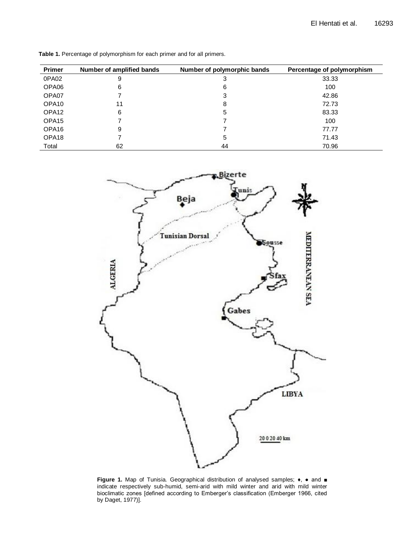| <b>Primer</b>     | Number of amplified bands | Number of polymorphic bands | Percentage of polymorphism |
|-------------------|---------------------------|-----------------------------|----------------------------|
| 0PA02             | 9                         | 3                           | 33.33                      |
| OPA06             | 6                         | 6                           | 100                        |
| OPA07             |                           | 3                           | 42.86                      |
| OPA <sub>10</sub> | 11                        | 8                           | 72.73                      |
| OPA <sub>12</sub> | 6                         | 5                           | 83.33                      |
| OPA <sub>15</sub> |                           |                             | 100                        |
| OPA <sub>16</sub> | 9                         |                             | 77.77                      |
| OPA <sub>18</sub> |                           | 5                           | 71.43                      |
| Total             | 62                        | 44                          | 70.96                      |

**Table 1.** Percentage of polymorphism for each primer and for all primers.



**Figure 1.** Map of Tunisia. Geographical distribution of analysed samples;  $\bullet$ ,  $\bullet$  and ■ indicate respectively sub-humid, semi-arid with mild winter and arid with mild winter bioclimatic zones [defined according to Emberger's classification (Emberger 1966, cited by Daget, 1977)].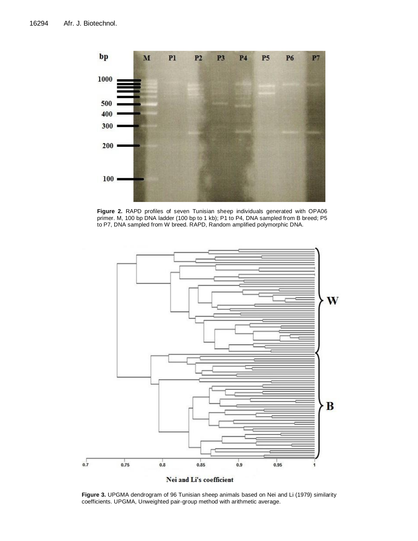

**Figure 2.** RAPD profiles of seven Tunisian sheep individuals generated with OPA06 primer. M, 100 bp DNA ladder (100 bp to 1 kb); P1 to P4, DNA sampled from B breed; P5 to P7, DNA sampled from W breed. RAPD, Random amplified polymorphic DNA.



**Figure 3.** UPGMA dendrogram of 96 Tunisian sheep animals based on Nei and Li (1979) similarity coefficients. UPGMA, Unweighted pair-group method with arithmetic average.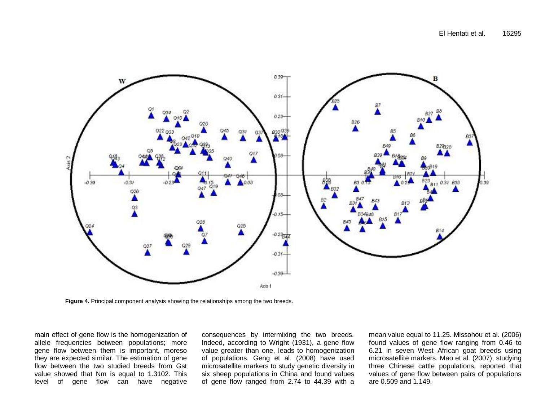

**Figure 4.** Principal component analysis showing the relationships among the two breeds.

main effect of gene flow is the homogenization of allele frequencies between populations; more gene flow between them is important, moreso they are expected similar. The estimation of gene flow between the two studied breeds from Gst value showed that Nm is equal to 1.3102. This level of gene flow can have negative

consequences by intermixing the two breeds. Indeed, according to Wright (1931), a gene flow value greater than one, leads to homogenization of populations. Geng et al. (2008) have used microsatellite markers to study genetic diversity in six sheep populations in China and found values of gene flow ranged from 2.74 to 44.39 with a

mean value equal to 11.25. Missohou et al. (2006) found values of gene flow ranging from 0.46 to 6.21 in seven West African goat breeds using microsatellite markers. Mao et al. (2007), studying three Chinese cattle populations, reported that values of gene flow between pairs of populations are 0.509 and 1.149.